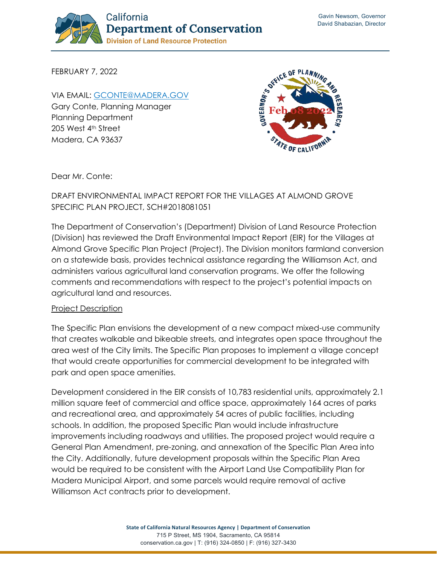

FEBRUARY 7, 2022

VIA EMAIL: [GCONTE@MADERA.GOV](mailto:gconte@madera.gov) Gary Conte, Planning Manager Planning Department 205 West 4<sup>th</sup> Street Madera, CA 93637



Dear Mr. Conte:

## DRAFT ENVIRONMENTAL IMPACT REPORT FOR THE VILLAGES AT ALMOND GROVE SPECIFIC PLAN PROJECT, SCH#2018081051

The Department of Conservation's (Department) Division of Land Resource Protection (Division) has reviewed the Draft Environmental Impact Report (EIR) for the Villages at Almond Grove Specific Plan Project (Project). The Division monitors farmland conversion on a statewide basis, provides technical assistance regarding the Williamson Act, and administers various agricultural land conservation programs. We offer the following comments and recommendations with respect to the project's potential impacts on agricultural land and resources.

## Project Description

The Specific Plan envisions the development of a new compact mixed-use community that creates walkable and bikeable streets, and integrates open space throughout the area west of the City limits. The Specific Plan proposes to implement a village concept that would create opportunities for commercial development to be integrated with park and open space amenities.

Development considered in the EIR consists of 10,783 residential units, approximately 2.1 million square feet of commercial and office space, approximately 164 acres of parks and recreational area, and approximately 54 acres of public facilities, including schools. In addition, the proposed Specific Plan would include infrastructure improvements including roadways and utilities. The proposed project would require a General Plan Amendment, pre-zoning, and annexation of the Specific Plan Area into the City. Additionally, future development proposals within the Specific Plan Area would be required to be consistent with the Airport Land Use Compatibility Plan for Madera Municipal Airport, and some parcels would require removal of active Williamson Act contracts prior to development.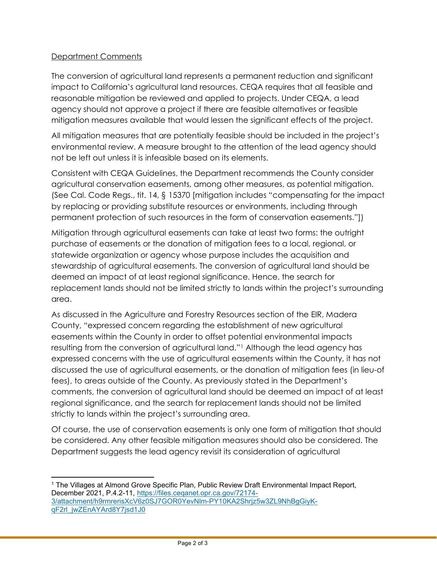## Department Comments

The conversion of agricultural land represents a permanent reduction and significant impact to California's agricultural land resources. CEQA requires that all feasible and reasonable mitigation be reviewed and applied to projects. Under CEQA, a lead agency should not approve a project if there are feasible alternatives or feasible mitigation measures available that would lessen the significant effects of the project.

All mitigation measures that are potentially feasible should be included in the project's environmental review. A measure brought to the attention of the lead agency should not be left out unless it is infeasible based on its elements.

Consistent with CEQA Guidelines, the Department recommends the County consider agricultural conservation easements, among other measures, as potential mitigation. (See Cal. Code Regs., tit. 14, § 15370 [mitigation includes "compensating for the impact by replacing or providing substitute resources or environments, including through permanent protection of such resources in the form of conservation easements."])

Mitigation through agricultural easements can take at least two forms: the outright purchase of easements or the donation of mitigation fees to a local, regional, or statewide organization or agency whose purpose includes the acquisition and stewardship of agricultural easements. The conversion of agricultural land should be deemed an impact of at least regional significance. Hence, the search for replacement lands should not be limited strictly to lands within the project's surrounding area.

As discussed in the Agriculture and Forestry Resources section of the EIR, Madera County, "expressed concern regarding the establishment of new agricultural easements within the County in order to offset potential environmental impacts resulting from the conversion of agricultural land."[1](#page-1-0) Although the lead agency has expressed concerns with the use of agricultural easements within the County, it has not discussed the use of agricultural easements, or the donation of mitigation fees (in lieu-of fees), to areas outside of the County. As previously stated in the Department's comments, the conversion of agricultural land should be deemed an impact of at least regional significance, and the search for replacement lands should not be limited strictly to lands within the project's surrounding area.

Of course, the use of conservation easements is only one form of mitigation that should be considered. Any other feasible mitigation measures should also be considered. The Department suggests the lead agency revisit its consideration of agricultural

<span id="page-1-0"></span><sup>1</sup> The Villages at Almond Grove Specific Plan, Public Review Draft Environmental Impact Report, December 2021, P.4.2-11, [https://files.ceqanet.opr.ca.gov/72174-](https://files.ceqanet.opr.ca.gov/72174-3/attachment/h9rmrerisXcV6z0SJ7GOR0YevNlm-PY10KA2Shrjz5w3ZL9NhBgGiyK-qF2rl_jwZEnAYArd8Y7jsd1J0) [3/attachment/h9rmrerisXcV6z0SJ7GOR0YevNlm-PY10KA2Shrjz5w3ZL9NhBgGiyK](https://files.ceqanet.opr.ca.gov/72174-3/attachment/h9rmrerisXcV6z0SJ7GOR0YevNlm-PY10KA2Shrjz5w3ZL9NhBgGiyK-qF2rl_jwZEnAYArd8Y7jsd1J0)[qF2rl\\_jwZEnAYArd8Y7jsd1J0](https://files.ceqanet.opr.ca.gov/72174-3/attachment/h9rmrerisXcV6z0SJ7GOR0YevNlm-PY10KA2Shrjz5w3ZL9NhBgGiyK-qF2rl_jwZEnAYArd8Y7jsd1J0)